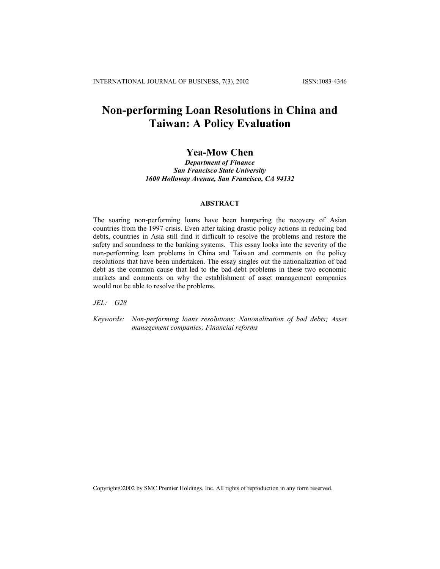# **Non-performing Loan Resolutions in China and Taiwan: A Policy Evaluation**

# **Yea-Mow Chen**

*Department of Finance San Francisco State University 1600 Holloway Avenue, San Francisco, CA 94132*

#### **ABSTRACT**

The soaring non-performing loans have been hampering the recovery of Asian countries from the 1997 crisis. Even after taking drastic policy actions in reducing bad debts, countries in Asia still find it difficult to resolve the problems and restore the safety and soundness to the banking systems. This essay looks into the severity of the non-performing loan problems in China and Taiwan and comments on the policy resolutions that have been undertaken. The essay singles out the nationalization of bad debt as the common cause that led to the bad-debt problems in these two economic markets and comments on why the establishment of asset management companies would not be able to resolve the problems.

*JEL: G28* 

*Keywords: Non-performing loans resolutions; Nationalization of bad debts; Asset management companies; Financial reforms*

Copyright©2002 by SMC Premier Holdings, Inc. All rights of reproduction in any form reserved.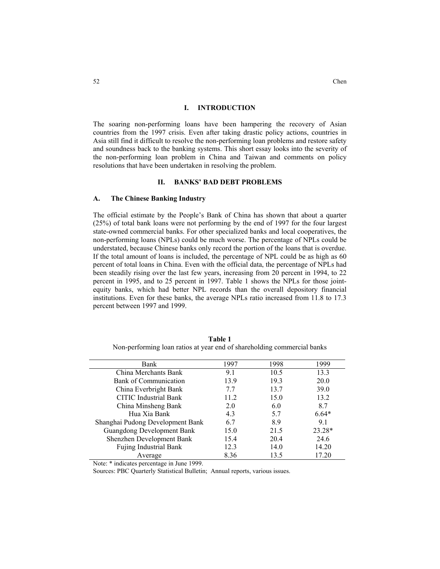### **I. INTRODUCTION**

The soaring non-performing loans have been hampering the recovery of Asian countries from the 1997 crisis. Even after taking drastic policy actions, countries in Asia still find it difficult to resolve the non-performing loan problems and restore safety and soundness back to the banking systems. This short essay looks into the severity of the non-performing loan problem in China and Taiwan and comments on policy resolutions that have been undertaken in resolving the problem.

#### **II. BANKS' BAD DEBT PROBLEMS**

#### **A. The Chinese Banking Industry**

The official estimate by the People's Bank of China has shown that about a quarter (25%) of total bank loans were not performing by the end of 1997 for the four largest state-owned commercial banks. For other specialized banks and local cooperatives, the non-performing loans (NPLs) could be much worse. The percentage of NPLs could be understated, because Chinese banks only record the portion of the loans that is overdue. If the total amount of loans is included, the percentage of NPL could be as high as 60 percent of total loans in China. Even with the official data, the percentage of NPLs had been steadily rising over the last few years, increasing from 20 percent in 1994, to 22 percent in 1995, and to 25 percent in 1997. Table 1 shows the NPLs for those jointequity banks, which had better NPL records than the overall depository financial institutions. Even for these banks, the average NPLs ratio increased from 11.8 to 17.3 percent between 1997 and 1999.

| Bank                              | 1997 | 1998 | 1999    |
|-----------------------------------|------|------|---------|
| China Merchants Bank              | 9.1  | 10.5 | 13.3    |
| Bank of Communication             | 13.9 | 19.3 | 20.0    |
| China Everbright Bank             | 7.7  | 13.7 | 39.0    |
| <b>CITIC</b> Industrial Bank      | 11.2 | 15.0 | 13.2    |
| China Minsheng Bank               | 2.0  | 6.0  | 8.7     |
| Hua Xia Bank                      | 4.3  | 5.7  | $6.64*$ |
| Shanghai Pudong Development Bank  | 6.7  | 8.9  | 9.1     |
| <b>Guangdong Development Bank</b> | 15.0 | 21.5 | 23.28*  |
| Shenzhen Development Bank         | 15.4 | 20.4 | 24.6    |
| <b>Fujing Industrial Bank</b>     | 12.3 | 14.0 | 14.20   |
| Average                           | 8.36 | 13.5 | 17.20   |

**Table 1**  Non-performing loan ratios at year end of shareholding commercial banks

Note: \* indicates percentage in June 1999.

Sources: PBC Quarterly Statistical Bulletin; Annual reports, various issues.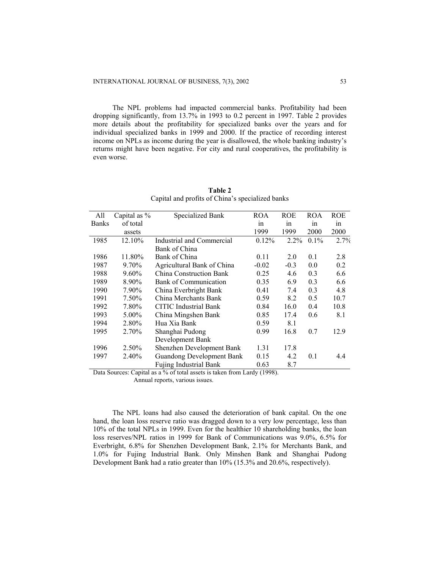The NPL problems had impacted commercial banks. Profitability had been dropping significantly, from 13.7% in 1993 to 0.2 percent in 1997. Table 2 provides more details about the profitability for specialized banks over the years and for individual specialized banks in 1999 and 2000. If the practice of recording interest income on NPLs as income during the year is disallowed, the whole banking industry's returns might have been negative. For city and rural cooperatives, the profitability is even worse.

| All          | Capital as % | <b>Specialized Bank</b>          | <b>ROA</b> | <b>ROE</b> | <b>ROA</b> | <b>ROE</b> |
|--------------|--------------|----------------------------------|------------|------------|------------|------------|
| <b>Banks</b> | of total     |                                  | in         | in         | in         | in         |
|              | assets       |                                  | 1999       | 1999       | 2000       | 2000       |
| 1985         | 12.10%       | Industrial and Commercial        | 0.12%      | $2.2\%$    | 0.1%       | 2.7%       |
|              |              | Bank of China                    |            |            |            |            |
| 1986         | 11.80%       | Bank of China                    | 0.11       | 2.0        | 0.1        | 2.8        |
| 1987         | 9.70%        | Agricultural Bank of China       | $-0.02$    | $-0.3$     | 0.0        | 0.2        |
| 1988         | 9.60%        | <b>China Construction Bank</b>   | 0.25       | 4.6        | 0.3        | 6.6        |
| 1989         | 8.90%        | <b>Bank of Communication</b>     | 0.35       | 6.9        | 0.3        | 6.6        |
| 1990         | 7.90%        | China Everbright Bank            | 0.41       | 7.4        | 0.3        | 4.8        |
| 1991         | 7.50%        | China Merchants Bank             | 0.59       | 8.2        | 0.5        | 10.7       |
| 1992         | 7.80%        | <b>CITIC</b> Industrial Bank     | 0.84       | 16.0       | 0.4        | 10.8       |
| 1993         | $5.00\%$     | China Mingshen Bank              | 0.85       | 17.4       | 0.6        | 8.1        |
| 1994         | 2.80%        | Hua Xia Bank                     | 0.59       | 8.1        |            |            |
| 1995         | 2.70%        | Shanghai Pudong                  | 0.99       | 16.8       | 0.7        | 12.9       |
|              |              | Development Bank                 |            |            |            |            |
| 1996         | 2.50%        | Shenzhen Development Bank        | 1.31       | 17.8       |            |            |
| 1997         | 2.40%        | <b>Guandong Development Bank</b> | 0.15       | 4.2        | 0.1        | 4.4        |
|              |              | <b>Fujing Industrial Bank</b>    | 0.63       | 8.7        |            |            |

**Table 2**  Capital and profits of China's specialized banks

Data Sources: Capital as a % of total assets is taken from Lardy (1998).

Annual reports, various issues.

The NPL loans had also caused the deterioration of bank capital. On the one hand, the loan loss reserve ratio was dragged down to a very low percentage, less than 10% of the total NPLs in 1999. Even for the healthier 10 shareholding banks, the loan loss reserves/NPL ratios in 1999 for Bank of Communications was 9.0%, 6.5% for Everbright, 6.8% for Shenzhen Development Bank, 2.1% for Merchants Bank, and 1.0% for Fujing Industrial Bank. Only Minshen Bank and Shanghai Pudong Development Bank had a ratio greater than 10% (15.3% and 20.6%, respectively).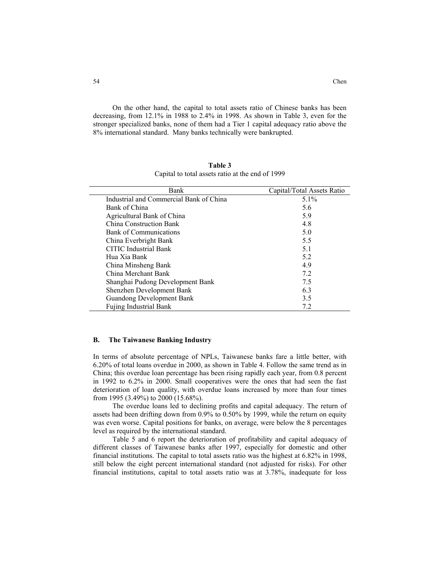On the other hand, the capital to total assets ratio of Chinese banks has been decreasing, from 12.1% in 1988 to 2.4% in 1998. As shown in Table 3, even for the stronger specialized banks, none of them had a Tier 1 capital adequacy ratio above the 8% international standard. Many banks technically were bankrupted.

| Bank                                    | Capital/Total Assets Ratio |
|-----------------------------------------|----------------------------|
| Industrial and Commercial Bank of China | $5.1\%$                    |
| Bank of China                           | 5.6                        |
| Agricultural Bank of China              | 5.9                        |
| China Construction Bank                 | 4.8                        |
| Bank of Communications                  | 5.0                        |
| China Everbright Bank                   | 5.5                        |
| <b>CITIC</b> Industrial Bank            | 5.1                        |
| Hua Xia Bank                            | 5.2                        |
| China Minsheng Bank                     | 4.9                        |
| China Merchant Bank                     | 7.2                        |
| Shanghai Pudong Development Bank        | 7.5                        |
| Shenzhen Development Bank               | 6.3                        |
| <b>Guandong Development Bank</b>        | 3.5                        |
| <b>Fujing Industrial Bank</b>           | 7.2                        |

**Table 3**  Capital to total assets ratio at the end of 1999

#### **B. The Taiwanese Banking Industry**

In terms of absolute percentage of NPLs, Taiwanese banks fare a little better, with 6.20% of total loans overdue in 2000, as shown in Table 4. Follow the same trend as in China; this overdue loan percentage has been rising rapidly each year, from 0.8 percent in 1992 to 6.2% in 2000. Small cooperatives were the ones that had seen the fast deterioration of loan quality, with overdue loans increased by more than four times from 1995 (3.49%) to 2000 (15.68%).

The overdue loans led to declining profits and capital adequacy. The return of assets had been drifting down from 0.9% to 0.50% by 1999, while the return on equity was even worse. Capital positions for banks, on average, were below the 8 percentages level as required by the international standard.

Table 5 and 6 report the deterioration of profitability and capital adequacy of different classes of Taiwanese banks after 1997, especially for domestic and other financial institutions. The capital to total assets ratio was the highest at 6.82% in 1998, still below the eight percent international standard (not adjusted for risks). For other financial institutions, capital to total assets ratio was at 3.78%, inadequate for loss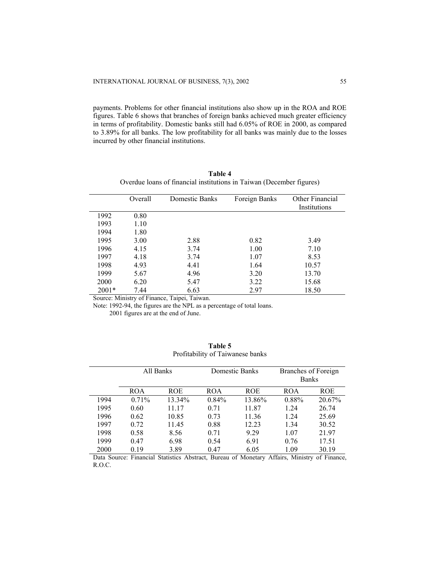payments. Problems for other financial institutions also show up in the ROA and ROE figures. Table 6 shows that branches of foreign banks achieved much greater efficiency in terms of profitability. Domestic banks still had 6.05% of ROE in 2000, as compared to 3.89% for all banks. The low profitability for all banks was mainly due to the losses incurred by other financial institutions.

|         | Overall | Domestic Banks | Foreign Banks | Other Financial |
|---------|---------|----------------|---------------|-----------------|
|         |         |                |               | Institutions    |
| 1992    | 0.80    |                |               |                 |
| 1993    | 1.10    |                |               |                 |
| 1994    | 1.80    |                |               |                 |
| 1995    | 3.00    | 2.88           | 0.82          | 3.49            |
| 1996    | 4.15    | 3.74           | 1.00          | 7.10            |
| 1997    | 4.18    | 3.74           | 1.07          | 8.53            |
| 1998    | 4.93    | 4.41           | 1.64          | 10.57           |
| 1999    | 5.67    | 4.96           | 3.20          | 13.70           |
| 2000    | 6.20    | 5.47           | 3.22          | 15.68           |
| $2001*$ | 7.44    | 6.63           | 2.97          | 18.50           |

| Table 4                                                              |  |
|----------------------------------------------------------------------|--|
| Overdue loans of financial institutions in Taiwan (December figures) |  |

Source: Ministry of Finance, Taipei, Taiwan.

Note: 1992-94, the figures are the NPL as a percentage of total loans.

2001 figures are at the end of June.

|      | All Banks  |            |            | Domestic Banks | Branches of Foreign |            |
|------|------------|------------|------------|----------------|---------------------|------------|
|      |            |            |            |                | <b>Banks</b>        |            |
|      | <b>ROA</b> | <b>ROE</b> | <b>ROA</b> | <b>ROE</b>     | <b>ROA</b>          | <b>ROE</b> |
| 1994 | $0.71\%$   | 13.34%     | $0.84\%$   | 13.86%         | 0.88%               | 20.67%     |
| 1995 | 0.60       | 11.17      | 0.71       | 11.87          | 1.24                | 26.74      |
| 1996 | 0.62       | 10.85      | 0.73       | 11.36          | 1.24                | 25.69      |
| 1997 | 0.72       | 11.45      | 0.88       | 12.23          | 1.34                | 30.52      |
| 1998 | 0.58       | 8.56       | 0.71       | 9.29           | 1.07                | 21.97      |
| 1999 | 0.47       | 6.98       | 0.54       | 6.91           | 0.76                | 17.51      |
| 2000 | 0.19       | 3.89       | 0.47       | 6.05           | 1.09                | 30.19      |

**Table 5**  Profitability of Taiwanese banks

Data Source: Financial Statistics Abstract, Bureau of Monetary Affairs, Ministry of Finance, R.O.C.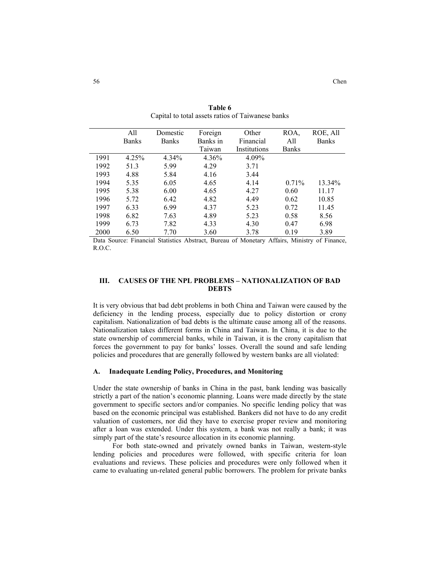|      | All          | Domestic     | Foreign  | Other        | ROA,         | ROE, All     |
|------|--------------|--------------|----------|--------------|--------------|--------------|
|      | <b>Banks</b> | <b>Banks</b> | Banks in | Financial    | All          | <b>Banks</b> |
|      |              |              | Taiwan   | Institutions | <b>Banks</b> |              |
| 1991 | 4.25%        | 4.34%        | 4.36%    | 4.09%        |              |              |
| 1992 | 51.3         | 5.99         | 4.29     | 3.71         |              |              |
| 1993 | 4.88         | 5.84         | 4.16     | 3.44         |              |              |
| 1994 | 5.35         | 6.05         | 4.65     | 4.14         | 0.71%        | 13.34%       |
| 1995 | 5.38         | 6.00         | 4.65     | 4.27         | 0.60         | 11.17        |
| 1996 | 5.72         | 6.42         | 4.82     | 4.49         | 0.62         | 10.85        |
| 1997 | 6.33         | 6.99         | 4.37     | 5.23         | 0.72         | 11.45        |
| 1998 | 6.82         | 7.63         | 4.89     | 5.23         | 0.58         | 8.56         |
| 1999 | 6.73         | 7.82         | 4.33     | 4.30         | 0.47         | 6.98         |
| 2000 | 6.50         | 7.70         | 3.60     | 3.78         | 0.19         | 3.89         |

**Table 6**  Capital to total assets ratios of Taiwanese banks

Data Source: Financial Statistics Abstract, Bureau of Monetary Affairs, Ministry of Finance, R.O.C.

# **III. CAUSES OF THE NPL PROBLEMS – NATIONALIZATION OF BAD DEBTS**

It is very obvious that bad debt problems in both China and Taiwan were caused by the deficiency in the lending process, especially due to policy distortion or crony capitalism. Nationalization of bad debts is the ultimate cause among all of the reasons. Nationalization takes different forms in China and Taiwan. In China, it is due to the state ownership of commercial banks, while in Taiwan, it is the crony capitalism that forces the government to pay for banks' losses. Overall the sound and safe lending policies and procedures that are generally followed by western banks are all violated:

### **A. Inadequate Lending Policy, Procedures, and Monitoring**

Under the state ownership of banks in China in the past, bank lending was basically strictly a part of the nation's economic planning. Loans were made directly by the state government to specific sectors and/or companies. No specific lending policy that was based on the economic principal was established. Bankers did not have to do any credit valuation of customers, nor did they have to exercise proper review and monitoring after a loan was extended. Under this system, a bank was not really a bank; it was simply part of the state's resource allocation in its economic planning.

For both state-owned and privately owned banks in Taiwan, western-style lending policies and procedures were followed, with specific criteria for loan evaluations and reviews. These policies and procedures were only followed when it came to evaluating un-related general public borrowers. The problem for private banks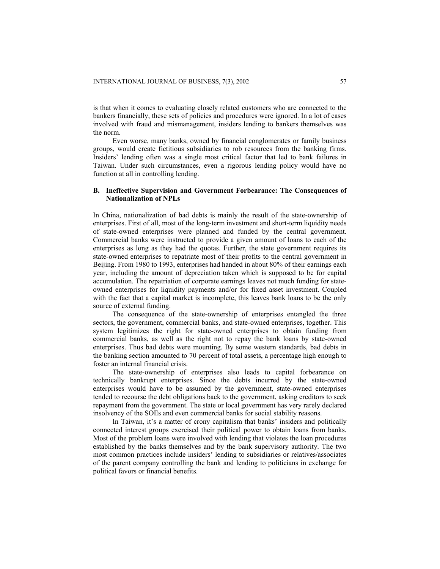is that when it comes to evaluating closely related customers who are connected to the bankers financially, these sets of policies and procedures were ignored. In a lot of cases involved with fraud and mismanagement, insiders lending to bankers themselves was the norm.

Even worse, many banks, owned by financial conglomerates or family business groups, would create fictitious subsidiaries to rob resources from the banking firms. Insiders' lending often was a single most critical factor that led to bank failures in Taiwan. Under such circumstances, even a rigorous lending policy would have no function at all in controlling lending.

# **B. Ineffective Supervision and Government Forbearance: The Consequences of Nationalization of NPLs**

In China, nationalization of bad debts is mainly the result of the state-ownership of enterprises. First of all, most of the long-term investment and short-term liquidity needs of state-owned enterprises were planned and funded by the central government. Commercial banks were instructed to provide a given amount of loans to each of the enterprises as long as they had the quotas. Further, the state government requires its state-owned enterprises to repatriate most of their profits to the central government in Beijing. From 1980 to 1993, enterprises had handed in about 80% of their earnings each year, including the amount of depreciation taken which is supposed to be for capital accumulation. The repatriation of corporate earnings leaves not much funding for stateowned enterprises for liquidity payments and/or for fixed asset investment. Coupled with the fact that a capital market is incomplete, this leaves bank loans to be the only source of external funding.

The consequence of the state-ownership of enterprises entangled the three sectors, the government, commercial banks, and state-owned enterprises, together. This system legitimizes the right for state-owned enterprises to obtain funding from commercial banks, as well as the right not to repay the bank loans by state-owned enterprises. Thus bad debts were mounting. By some western standards, bad debts in the banking section amounted to 70 percent of total assets, a percentage high enough to foster an internal financial crisis.

The state-ownership of enterprises also leads to capital forbearance on technically bankrupt enterprises. Since the debts incurred by the state-owned enterprises would have to be assumed by the government, state-owned enterprises tended to recourse the debt obligations back to the government, asking creditors to seek repayment from the government. The state or local government has very rarely declared insolvency of the SOEs and even commercial banks for social stability reasons.

In Taiwan, it's a matter of crony capitalism that banks' insiders and politically connected interest groups exercised their political power to obtain loans from banks. Most of the problem loans were involved with lending that violates the loan procedures established by the banks themselves and by the bank supervisory authority. The two most common practices include insiders' lending to subsidiaries or relatives/associates of the parent company controlling the bank and lending to politicians in exchange for political favors or financial benefits.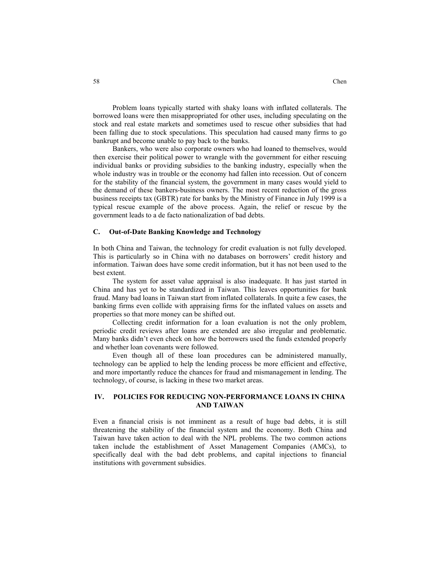Problem loans typically started with shaky loans with inflated collaterals. The borrowed loans were then misappropriated for other uses, including speculating on the stock and real estate markets and sometimes used to rescue other subsidies that had been falling due to stock speculations. This speculation had caused many firms to go bankrupt and become unable to pay back to the banks.

Bankers, who were also corporate owners who had loaned to themselves, would then exercise their political power to wrangle with the government for either rescuing individual banks or providing subsidies to the banking industry, especially when the whole industry was in trouble or the economy had fallen into recession. Out of concern for the stability of the financial system, the government in many cases would yield to the demand of these bankers-business owners. The most recent reduction of the gross business receipts tax (GBTR) rate for banks by the Ministry of Finance in July 1999 is a typical rescue example of the above process. Again, the relief or rescue by the government leads to a de facto nationalization of bad debts.

#### **C. Out-of-Date Banking Knowledge and Technology**

In both China and Taiwan, the technology for credit evaluation is not fully developed. This is particularly so in China with no databases on borrowers' credit history and information. Taiwan does have some credit information, but it has not been used to the best extent.

The system for asset value appraisal is also inadequate. It has just started in China and has yet to be standardized in Taiwan. This leaves opportunities for bank fraud. Many bad loans in Taiwan start from inflated collaterals. In quite a few cases, the banking firms even collide with appraising firms for the inflated values on assets and properties so that more money can be shifted out.

Collecting credit information for a loan evaluation is not the only problem, periodic credit reviews after loans are extended are also irregular and problematic. Many banks didn't even check on how the borrowers used the funds extended properly and whether loan covenants were followed.

Even though all of these loan procedures can be administered manually, technology can be applied to help the lending process be more efficient and effective, and more importantly reduce the chances for fraud and mismanagement in lending. The technology, of course, is lacking in these two market areas.

# **IV. POLICIES FOR REDUCING NON-PERFORMANCE LOANS IN CHINA AND TAIWAN**

Even a financial crisis is not imminent as a result of huge bad debts, it is still threatening the stability of the financial system and the economy. Both China and Taiwan have taken action to deal with the NPL problems. The two common actions taken include the establishment of Asset Management Companies (AMCs), to specifically deal with the bad debt problems, and capital injections to financial institutions with government subsidies.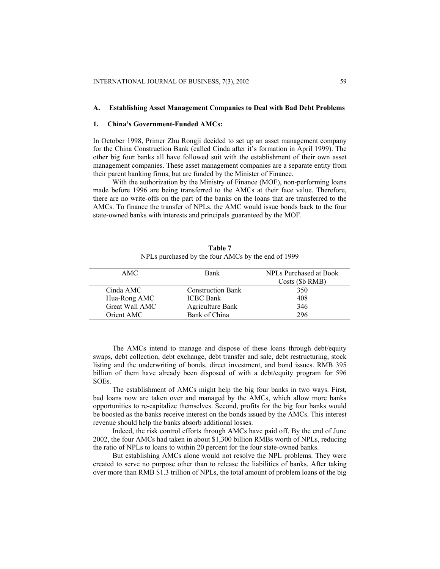#### **A. Establishing Asset Management Companies to Deal with Bad Debt Problems**

#### **1. China's Government-Funded AMCs:**

In October 1998, Primer Zhu Rongji decided to set up an asset management company for the China Construction Bank (called Cinda after it's formation in April 1999). The other big four banks all have followed suit with the establishment of their own asset management companies. These asset management companies are a separate entity from their parent banking firms, but are funded by the Minister of Finance.

With the authorization by the Ministry of Finance (MOF), non-performing loans made before 1996 are being transferred to the AMCs at their face value. Therefore, there are no write-offs on the part of the banks on the loans that are transferred to the AMCs. To finance the transfer of NPLs, the AMC would issue bonds back to the four state-owned banks with interests and principals guaranteed by the MOF.

| AMC.           | <b>Bank</b>              | NPLs Purchased at Book |
|----------------|--------------------------|------------------------|
|                |                          | Costs (\$b RMB)        |
| Cinda AMC      | <b>Construction Bank</b> | 350                    |
| Hua-Rong AMC   | <b>ICBC</b> Bank         | 408                    |
| Great Wall AMC | Agriculture Bank         | 346                    |
| Orient AMC     | Bank of China            | 296                    |

**Table 7**  NPLs purchased by the four AMCs by the end of 1999

The AMCs intend to manage and dispose of these loans through debt/equity swaps, debt collection, debt exchange, debt transfer and sale, debt restructuring, stock listing and the underwriting of bonds, direct investment, and bond issues. RMB 395 billion of them have already been disposed of with a debt/equity program for 596 SOEs.

The establishment of AMCs might help the big four banks in two ways. First, bad loans now are taken over and managed by the AMCs, which allow more banks opportunities to re-capitalize themselves. Second, profits for the big four banks would be boosted as the banks receive interest on the bonds issued by the AMCs. This interest revenue should help the banks absorb additional losses.

Indeed, the risk control efforts through AMCs have paid off. By the end of June 2002, the four AMCs had taken in about \$1,300 billion RMBs worth of NPLs, reducing the ratio of NPLs to loans to within 20 percent for the four state-owned banks.

But establishing AMCs alone would not resolve the NPL problems. They were created to serve no purpose other than to release the liabilities of banks. After taking over more than RMB \$1.3 trillion of NPLs, the total amount of problem loans of the big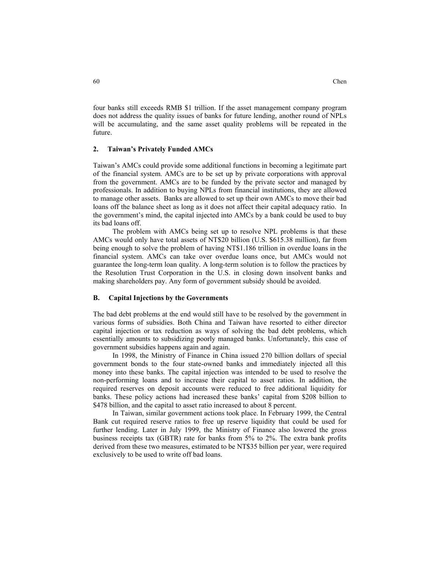four banks still exceeds RMB \$1 trillion. If the asset management company program does not address the quality issues of banks for future lending, another round of NPLs will be accumulating, and the same asset quality problems will be repeated in the future.

#### **2. Taiwan's Privately Funded AMCs**

Taiwan's AMCs could provide some additional functions in becoming a legitimate part of the financial system. AMCs are to be set up by private corporations with approval from the government. AMCs are to be funded by the private sector and managed by professionals. In addition to buying NPLs from financial institutions, they are allowed to manage other assets. Banks are allowed to set up their own AMCs to move their bad loans off the balance sheet as long as it does not affect their capital adequacy ratio. In the government's mind, the capital injected into AMCs by a bank could be used to buy its bad loans off.

The problem with AMCs being set up to resolve NPL problems is that these AMCs would only have total assets of NT\$20 billion (U.S. \$615.38 million), far from being enough to solve the problem of having NT\$1.186 trillion in overdue loans in the financial system. AMCs can take over overdue loans once, but AMCs would not guarantee the long-term loan quality. A long-term solution is to follow the practices by the Resolution Trust Corporation in the U.S. in closing down insolvent banks and making shareholders pay. Any form of government subsidy should be avoided.

#### **B. Capital Injections by the Governments**

The bad debt problems at the end would still have to be resolved by the government in various forms of subsidies. Both China and Taiwan have resorted to either director capital injection or tax reduction as ways of solving the bad debt problems, which essentially amounts to subsidizing poorly managed banks. Unfortunately, this case of government subsidies happens again and again.

In 1998, the Ministry of Finance in China issued 270 billion dollars of special government bonds to the four state-owned banks and immediately injected all this money into these banks. The capital injection was intended to be used to resolve the non-performing loans and to increase their capital to asset ratios. In addition, the required reserves on deposit accounts were reduced to free additional liquidity for banks. These policy actions had increased these banks' capital from \$208 billion to \$478 billion, and the capital to asset ratio increased to about 8 percent.

In Taiwan, similar government actions took place. In February 1999, the Central Bank cut required reserve ratios to free up reserve liquidity that could be used for further lending. Later in July 1999, the Ministry of Finance also lowered the gross business receipts tax (GBTR) rate for banks from 5% to 2%. The extra bank profits derived from these two measures, estimated to be NT\$35 billion per year, were required exclusively to be used to write off bad loans.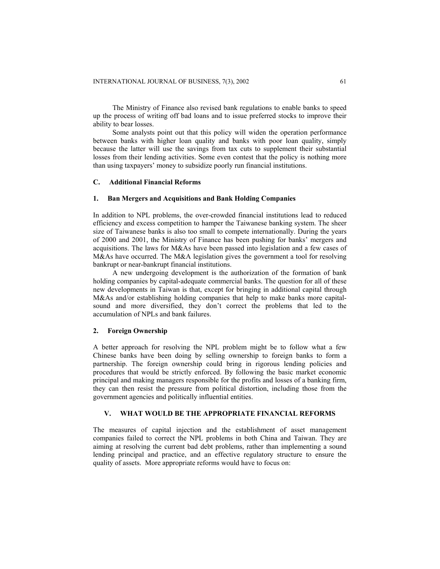The Ministry of Finance also revised bank regulations to enable banks to speed up the process of writing off bad loans and to issue preferred stocks to improve their ability to bear losses.

Some analysts point out that this policy will widen the operation performance between banks with higher loan quality and banks with poor loan quality, simply because the latter will use the savings from tax cuts to supplement their substantial losses from their lending activities. Some even contest that the policy is nothing more than using taxpayers' money to subsidize poorly run financial institutions.

#### **C. Additional Financial Reforms**

#### **1. Ban Mergers and Acquisitions and Bank Holding Companies**

In addition to NPL problems, the over-crowded financial institutions lead to reduced efficiency and excess competition to hamper the Taiwanese banking system. The sheer size of Taiwanese banks is also too small to compete internationally. During the years of 2000 and 2001, the Ministry of Finance has been pushing for banks' mergers and acquisitions. The laws for M&As have been passed into legislation and a few cases of M&As have occurred. The M&A legislation gives the government a tool for resolving bankrupt or near-bankrupt financial institutions.

A new undergoing development is the authorization of the formation of bank holding companies by capital-adequate commercial banks. The question for all of these new developments in Taiwan is that, except for bringing in additional capital through M&As and/or establishing holding companies that help to make banks more capitalsound and more diversified, they don't correct the problems that led to the accumulation of NPLs and bank failures.

#### **2. Foreign Ownership**

A better approach for resolving the NPL problem might be to follow what a few Chinese banks have been doing by selling ownership to foreign banks to form a partnership. The foreign ownership could bring in rigorous lending policies and procedures that would be strictly enforced. By following the basic market economic principal and making managers responsible for the profits and losses of a banking firm, they can then resist the pressure from political distortion, including those from the government agencies and politically influential entities.

#### **V. WHAT WOULD BE THE APPROPRIATE FINANCIAL REFORMS**

The measures of capital injection and the establishment of asset management companies failed to correct the NPL problems in both China and Taiwan. They are aiming at resolving the current bad debt problems, rather than implementing a sound lending principal and practice, and an effective regulatory structure to ensure the quality of assets. More appropriate reforms would have to focus on: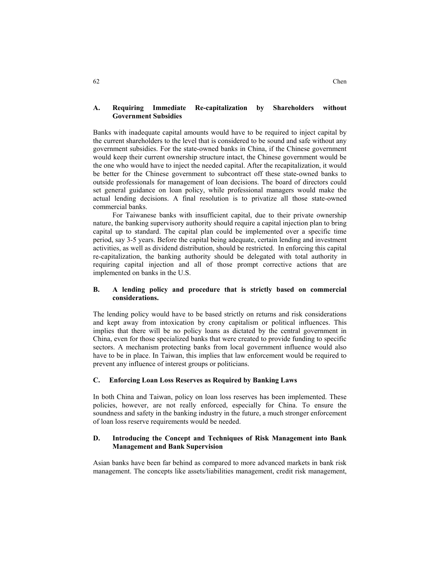Banks with inadequate capital amounts would have to be required to inject capital by the current shareholders to the level that is considered to be sound and safe without any government subsidies. For the state-owned banks in China, if the Chinese government would keep their current ownership structure intact, the Chinese government would be the one who would have to inject the needed capital. After the recapitalization, it would be better for the Chinese government to subcontract off these state-owned banks to outside professionals for management of loan decisions. The board of directors could set general guidance on loan policy, while professional managers would make the actual lending decisions. A final resolution is to privatize all those state-owned commercial banks.

For Taiwanese banks with insufficient capital, due to their private ownership nature, the banking supervisory authority should require a capital injection plan to bring capital up to standard. The capital plan could be implemented over a specific time period, say 3-5 years. Before the capital being adequate, certain lending and investment activities, as well as dividend distribution, should be restricted. In enforcing this capital re-capitalization, the banking authority should be delegated with total authority in requiring capital injection and all of those prompt corrective actions that are implemented on banks in the U.S.

# **B. A lending policy and procedure that is strictly based on commercial considerations.**

The lending policy would have to be based strictly on returns and risk considerations and kept away from intoxication by crony capitalism or political influences. This implies that there will be no policy loans as dictated by the central government in China, even for those specialized banks that were created to provide funding to specific sectors. A mechanism protecting banks from local government influence would also have to be in place. In Taiwan, this implies that law enforcement would be required to prevent any influence of interest groups or politicians.

## **C. Enforcing Loan Loss Reserves as Required by Banking Laws**

In both China and Taiwan, policy on loan loss reserves has been implemented. These policies, however, are not really enforced, especially for China. To ensure the soundness and safety in the banking industry in the future, a much stronger enforcement of loan loss reserve requirements would be needed.

# **D. Introducing the Concept and Techniques of Risk Management into Bank Management and Bank Supervision**

Asian banks have been far behind as compared to more advanced markets in bank risk management. The concepts like assets/liabilities management, credit risk management,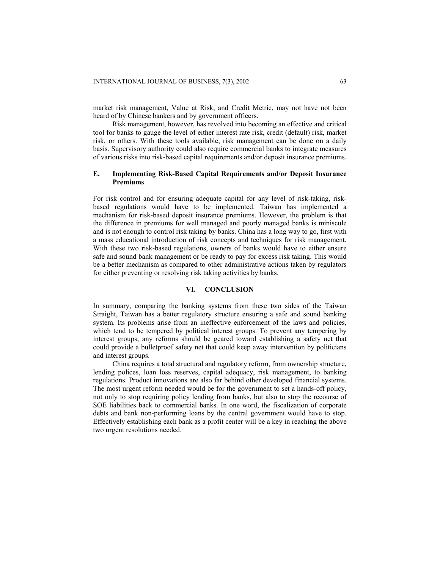market risk management, Value at Risk, and Credit Metric, may not have not been heard of by Chinese bankers and by government officers.

Risk management, however, has revolved into becoming an effective and critical tool for banks to gauge the level of either interest rate risk, credit (default) risk, market risk, or others. With these tools available, risk management can be done on a daily basis. Supervisory authority could also require commercial banks to integrate measures of various risks into risk-based capital requirements and/or deposit insurance premiums.

# **E. Implementing Risk-Based Capital Requirements and/or Deposit Insurance Premiums**

For risk control and for ensuring adequate capital for any level of risk-taking, riskbased regulations would have to be implemented. Taiwan has implemented a mechanism for risk-based deposit insurance premiums. However, the problem is that the difference in premiums for well managed and poorly managed banks is miniscule and is not enough to control risk taking by banks. China has a long way to go, first with a mass educational introduction of risk concepts and techniques for risk management. With these two risk-based regulations, owners of banks would have to either ensure safe and sound bank management or be ready to pay for excess risk taking. This would be a better mechanism as compared to other administrative actions taken by regulators for either preventing or resolving risk taking activities by banks.

#### **VI. CONCLUSION**

In summary, comparing the banking systems from these two sides of the Taiwan Straight, Taiwan has a better regulatory structure ensuring a safe and sound banking system. Its problems arise from an ineffective enforcement of the laws and policies, which tend to be tempered by political interest groups. To prevent any tempering by interest groups, any reforms should be geared toward establishing a safety net that could provide a bulletproof safety net that could keep away intervention by politicians and interest groups.

China requires a total structural and regulatory reform, from ownership structure, lending polices, loan loss reserves, capital adequacy, risk management, to banking regulations. Product innovations are also far behind other developed financial systems. The most urgent reform needed would be for the government to set a hands-off policy, not only to stop requiring policy lending from banks, but also to stop the recourse of SOE liabilities back to commercial banks. In one word, the fiscalization of corporate debts and bank non-performing loans by the central government would have to stop. Effectively establishing each bank as a profit center will be a key in reaching the above two urgent resolutions needed.